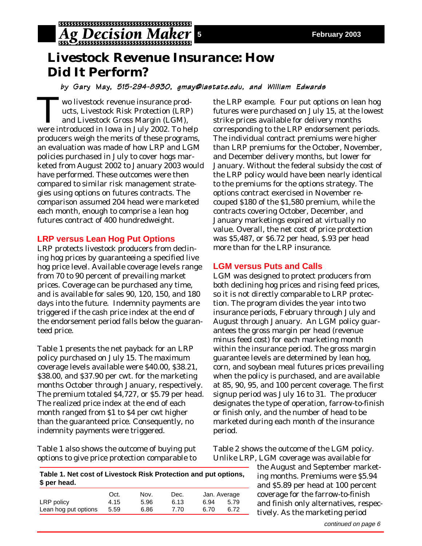

# **Livestock Revenue Insurance: How Did It Perform?**

## by Gary May, 515-294-8930, gmay@iastate.edu, and William Edwards

Two livestock revenue insurance products, Livestock Risk Protection (LRP) and Livestock Gross Margin (LGM), were introduced in Iowa in July 2002. To help producers weigh the merits of these programs, an evaluation was made of how LRP and LGM policies purchased in July to cover hogs marketed from August 2002 to January 2003 would have performed. These outcomes were then compared to similar risk management strategies using options on futures contracts. The comparison assumed 204 head were marketed each month, enough to comprise a lean hog futures contract of 400 hundredweight.

## **LRP versus Lean Hog Put Options**

LRP protects livestock producers from declining hog prices by guaranteeing a specified live hog price level. Available coverage levels range from 70 to 90 percent of prevailing market prices. Coverage can be purchased any time, and is available for sales 90, 120, 150, and 180 days into the future. Indemnity payments are triggered if the cash price index at the end of the endorsement period falls below the guaranteed price.

Table 1 presents the net payback for an LRP policy purchased on July 15. The maximum coverage levels available were \$40.00, \$38.21, \$38.00, and \$37.90 per cwt. for the marketing months October through January, respectively. The premium totaled \$4,727, or \$5.79 per head. The realized price index at the end of each month ranged from \$1 to \$4 per cwt higher than the guaranteed price. Consequently, no indemnity payments were triggered.

Table 1 also shows the outcome of buying put options to give price protection comparable to the LRP example. Four put options on lean hog futures were purchased on July 15, at the lowest strike prices available for delivery months corresponding to the LRP endorsement periods. The individual contract premiums were higher than LRP premiums for the October, November, and December delivery months, but lower for January. Without the federal subsidy the cost of the LRP policy would have been nearly identical to the premiums for the options strategy. The options contract exercised in November recouped \$180 of the \$1,580 premium, while the contracts covering October, December, and January marketings expired at virtually no value. Overall, the net cost of price protection was \$5,487, or \$6.72 per head, \$.93 per head more than for the LRP insurance.

# **LGM versus Puts and Calls**

LGM was designed to protect producers from both declining hog prices and rising feed prices, so it is not directly comparable to LRP protection. The program divides the year into two insurance periods, February through July and August through January. An LGM policy guarantees the gross margin per head (revenue minus feed cost) for each marketing month within the insurance period. The gross margin guarantee levels are determined by lean hog, corn, and soybean meal futures prices prevailing when the policy is purchased, and are available at 85, 90, 95, and 100 percent coverage. The first signup period was July 16 to 31. The producer designates the type of operation, farrow-to-finish or finish only, and the number of head to be marketed during each month of the insurance period.

Table 2 shows the outcome of the LGM policy. Unlike LRP, LGM coverage was available for

> the August and September marketing months. Premiums were \$5.94 and \$5.89 per head at 100 percent coverage for the farrow-to-finish and finish only alternatives, respectively. As the marketing period

| Table 1. Net cost of Livestock Risk Protection and put options,<br>\$ per head. |      |      |      |              |      |  |  |  |  |  |
|---------------------------------------------------------------------------------|------|------|------|--------------|------|--|--|--|--|--|
|                                                                                 | Oct. | Nov. | Dec. | Jan. Average |      |  |  |  |  |  |
| LRP policy                                                                      | 4.15 | 5.96 | 6.13 | 6.94         | 5.79 |  |  |  |  |  |
| Lean hog put options                                                            | 5.59 | 6.86 | 7.70 | 6.70         | 6.72 |  |  |  |  |  |